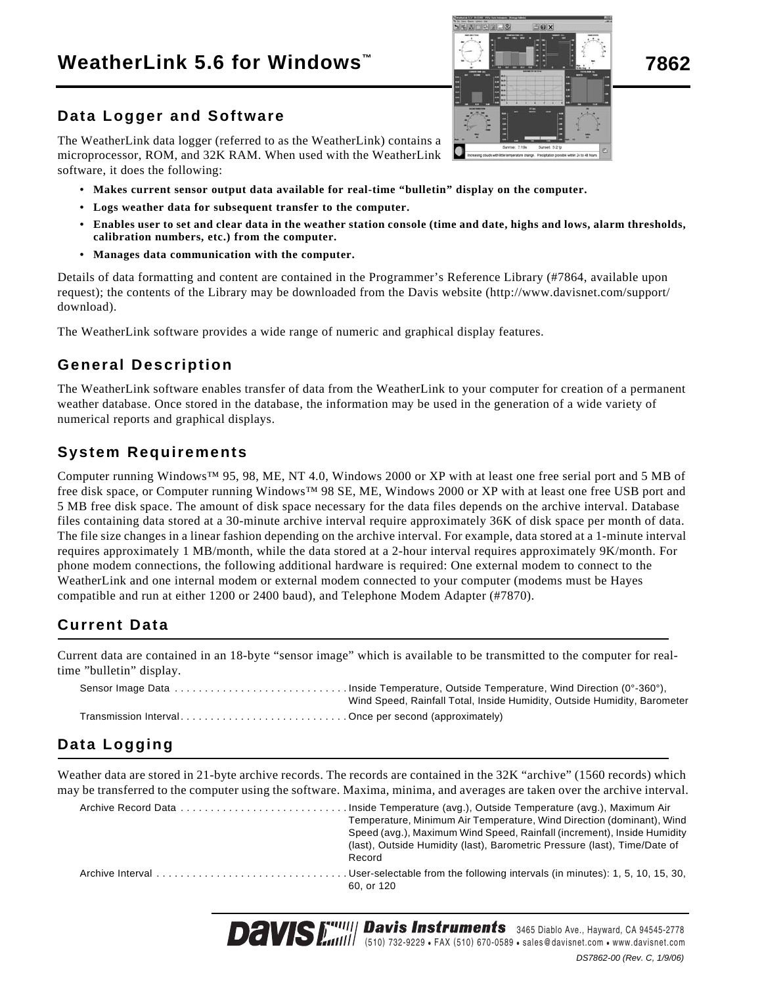# **WeatherLink 5.6 for Windows 7862 ™**

## **Data Logger and Software**

The WeatherLink data logger (referred to as the WeatherLink) contains a microprocessor, ROM, and 32K RAM. When used with the WeatherLink software, it does the following:

- **Makes current sensor output data available for real-time "bulletin" display on the computer.**
- **Logs weather data for subsequent transfer to the computer.**
- **Enables user to set and clear data in the weather station console (time and date, highs and lows, alarm thresholds, calibration numbers, etc.) from the computer.**
- **Manages data communication with the computer.**

Details of data formatting and content are contained in the Programmer's Reference Library (#7864, available upon request); the contents of the Library may be downloaded from the Davis website (http://www.davisnet.com/support/ download).

The WeatherLink software provides a wide range of numeric and graphical display features.

## **General Description**

The WeatherLink software enables transfer of data from the WeatherLink to your computer for creation of a permanent weather database. Once stored in the database, the information may be used in the generation of a wide variety of numerical reports and graphical displays.

## **System Requirements**

Computer running Windows™ 95, 98, ME, NT 4.0, Windows 2000 or XP with at least one free serial port and 5 MB of free disk space, or Computer running Windows™ 98 SE, ME, Windows 2000 or XP with at least one free USB port and 5 MB free disk space. The amount of disk space necessary for the data files depends on the archive interval. Database files containing data stored at a 30-minute archive interval require approximately 36K of disk space per month of data. The file size changes in a linear fashion depending on the archive interval. For example, data stored at a 1-minute interval requires approximately 1 MB/month, while the data stored at a 2-hour interval requires approximately 9K/month. For phone modem connections, the following additional hardware is required: One external modem to connect to the WeatherLink and one internal modem or external modem connected to your computer (modems must be Hayes compatible and run at either 1200 or 2400 baud), and Telephone Modem Adapter (#7870).

# **Current Data**

Current data are contained in an 18-byte "sensor image" which is available to be transmitted to the computer for realtime "bulletin" display.

|                                                      | Wind Speed, Rainfall Total, Inside Humidity, Outside Humidity, Barometer |
|------------------------------------------------------|--------------------------------------------------------------------------|
| Transmission IntervalOnce per second (approximately) |                                                                          |

# **Data Logging**

Weather data are stored in 21-byte archive records. The records are contained in the 32K "archive" (1560 records) which may be transferred to the computer using the software. Maxima, minima, and averages are taken over the archive interval.

| Temperature, Minimum Air Temperature, Wind Direction (dominant), Wind<br>Speed (avg.), Maximum Wind Speed, Rainfall (increment), Inside Humidity<br>(last), Outside Humidity (last), Barometric Pressure (last), Time/Date of<br>Record |
|-----------------------------------------------------------------------------------------------------------------------------------------------------------------------------------------------------------------------------------------|
| 60. or 120                                                                                                                                                                                                                              |